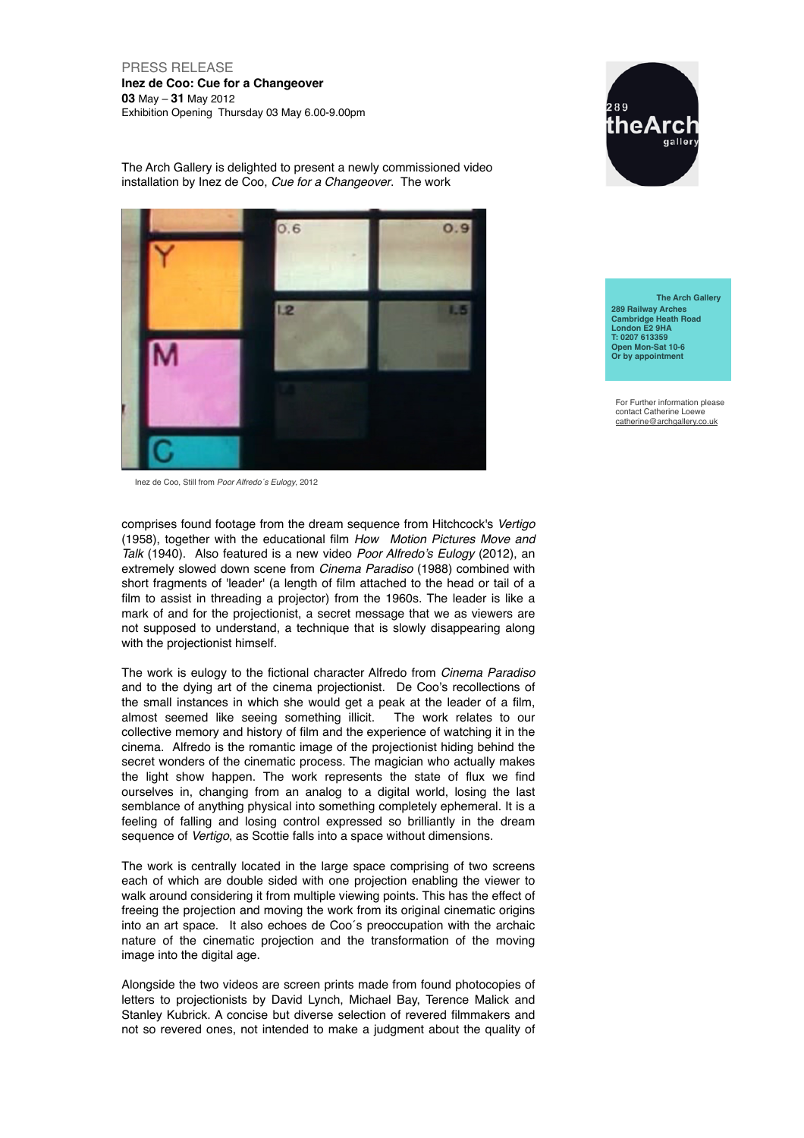PRESS RELEASE **Inez de Coo: Cue for a Changeover 03** May – **31** May 2012 Exhibition Opening Thursday 03 May 6.00-9.00pm



The Arch Gallery is delighted to present a newly commissioned video installation by Inez de Coo, *Cue for a Changeover*. The work



Inez de Coo, Still from *Poor Alfredo´s Eulogy*, 2012

comprises found footage from the dream sequence from Hitchcock's *Vertigo* (1958), together with the educational film *How Motion Pictures Move and Talk* (1940). Also featured is a new video *Poor Alfredo's Eulogy* (2012), an extremely slowed down scene from *Cinema Paradiso* (1988) combined with short fragments of 'leader' (a length of film attached to the head or tail of a film to assist in threading a projector) from the 1960s. The leader is like a mark of and for the projectionist, a secret message that we as viewers are not supposed to understand, a technique that is slowly disappearing along with the projectionist himself.

The work is eulogy to the fictional character Alfredo from *Cinema Paradiso* and to the dying art of the cinema projectionist. De Coo's recollections of the small instances in which she would get a peak at the leader of a film, almost seemed like seeing something illicit. The work relates to our almost seemed like seeing something illicit. collective memory and history of film and the experience of watching it in the cinema. Alfredo is the romantic image of the projectionist hiding behind the secret wonders of the cinematic process. The magician who actually makes the light show happen. The work represents the state of flux we find ourselves in, changing from an analog to a digital world, losing the last semblance of anything physical into something completely ephemeral. It is a feeling of falling and losing control expressed so brilliantly in the dream sequence of *Vertigo*, as Scottie falls into a space without dimensions.

The work is centrally located in the large space comprising of two screens each of which are double sided with one projection enabling the viewer to walk around considering it from multiple viewing points. This has the effect of freeing the projection and moving the work from its original cinematic origins into an art space. It also echoes de Coo´s preoccupation with the archaic nature of the cinematic projection and the transformation of the moving image into the digital age.

Alongside the two videos are screen prints made from found photocopies of letters to projectionists by David Lynch, Michael Bay, Terence Malick and Stanley Kubrick. A concise but diverse selection of revered filmmakers and not so revered ones, not intended to make a judgment about the quality of

 **The Arch Gallery 289 Railway Arches Cambridge Heath Road London E2 9HA T: 0207 613359 Open Mon-Sat 10-6 Or by appointment**

For Further information please contact Catherine Loewe catherine@archgallery.co.uk